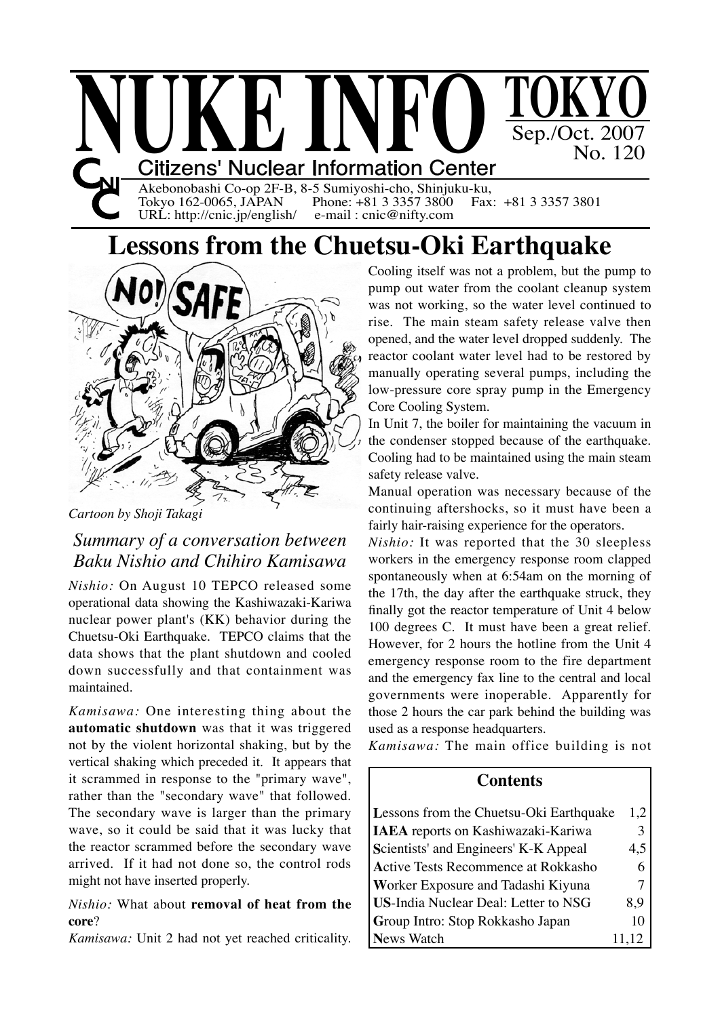

Akebonobashi Co-op 2F-B, 8-5 Sumiyoshi-cho, Shinjuku-ku,<br>Tokyo 162-0065, JAPAN Phone: +81 3 3357 3800 Fax: +81 3 3357 3801 Tokyo 162-0065, JAPAN Phone:  $+81$  3 3357 3800<br>URL: http://cnic.jp/english/ e-mail: cnic@nifty.com  $URL:$  http://cnic.jp/english/

## **Lessons from the Chuetsu-Oki Earthquake**



*Cartoon by Shoji Takagi*

## *Summary of a conversation between Baku Nishio and Chihiro Kamisawa*

*Nishio:* On August 10 TEPCO released some operational data showing the Kashiwazaki-Kariwa nuclear power plant's (KK) behavior during the Chuetsu-Oki Earthquake. TEPCO claims that the data shows that the plant shutdown and cooled down successfully and that containment was maintained.

*Kamisawa:* One interesting thing about the **automatic shutdown** was that it was triggered not by the violent horizontal shaking, but by the vertical shaking which preceded it. It appears that it scrammed in response to the "primary wave", rather than the "secondary wave" that followed. The secondary wave is larger than the primary wave, so it could be said that it was lucky that the reactor scrammed before the secondary wave arrived. If it had not done so, the control rods might not have inserted properly.

#### *Nishio:* What about **removal of heat from the core**?

*Kamisawa:* Unit 2 had not yet reached criticality.

Cooling itself was not a problem, but the pump to pump out water from the coolant cleanup system was not working, so the water level continued to rise. The main steam safety release valve then opened, and the water level dropped suddenly. The reactor coolant water level had to be restored by manually operating several pumps, including the low-pressure core spray pump in the Emergency Core Cooling System.

In Unit 7, the boiler for maintaining the vacuum in the condenser stopped because of the earthquake. Cooling had to be maintained using the main steam safety release valve.

Manual operation was necessary because of the continuing aftershocks, so it must have been a fairly hair-raising experience for the operators.

*Nishio:* It was reported that the 30 sleepless workers in the emergency response room clapped spontaneously when at 6:54am on the morning of the 17th, the day after the earthquake struck, they finally got the reactor temperature of Unit 4 below 100 degrees C. It must have been a great relief. However, for 2 hours the hotline from the Unit 4 emergency response room to the fire department and the emergency fax line to the central and local governments were inoperable. Apparently for those 2 hours the car park behind the building was used as a response headquarters.

*Kamisawa:* The main office building is not

#### **Contents**

| Lessons from the Chuetsu-Oki Earthquake     | 1,2   |
|---------------------------------------------|-------|
| <b>IAEA</b> reports on Kashiwazaki-Kariwa   | 3     |
| Scientists' and Engineers' K-K Appeal       | 4,5   |
| <b>Active Tests Recommence at Rokkasho</b>  | 6     |
| Worker Exposure and Tadashi Kiyuna          |       |
| <b>US-India Nuclear Deal: Letter to NSG</b> | 8.9   |
| Group Intro: Stop Rokkasho Japan            | 10    |
| <b>News Watch</b>                           | 11,12 |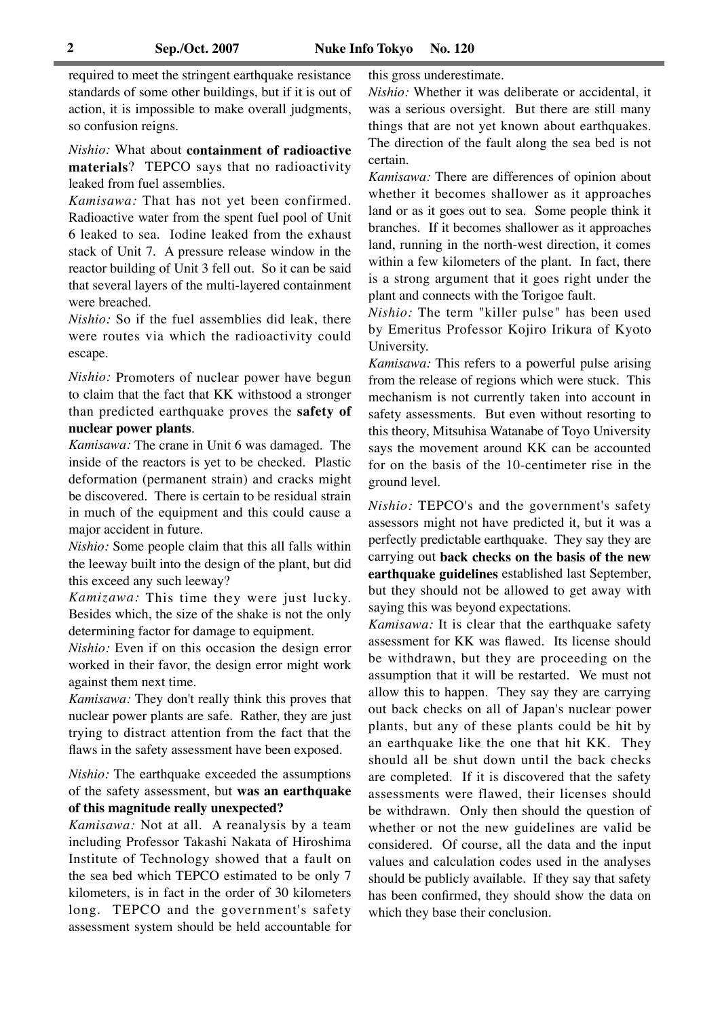required to meet the stringent earthquake resistance standards of some other buildings, but if it is out of action, it is impossible to make overall judgments, so confusion reigns.

*Nishio:* What about **containment of radioactive materials**? TEPCO says that no radioactivity leaked from fuel assemblies.

*Kamisawa:* That has not yet been confirmed. Radioactive water from the spent fuel pool of Unit 6 leaked to sea. Iodine leaked from the exhaust stack of Unit 7. A pressure release window in the reactor building of Unit 3 fell out. So it can be said that several layers of the multi-layered containment were breached.

*Nishio:* So if the fuel assemblies did leak, there were routes via which the radioactivity could escape.

*Nishio:* Promoters of nuclear power have begun to claim that the fact that KK withstood a stronger than predicted earthquake proves the **safety of nuclear power plants**.

*Kamisawa:* The crane in Unit 6 was damaged. The inside of the reactors is yet to be checked. Plastic deformation (permanent strain) and cracks might be discovered. There is certain to be residual strain in much of the equipment and this could cause a major accident in future.

*Nishio:* Some people claim that this all falls within the leeway built into the design of the plant, but did this exceed any such leeway?

*Kamizawa:* This time they were just lucky. Besides which, the size of the shake is not the only determining factor for damage to equipment.

*Nishio:* Even if on this occasion the design error worked in their favor, the design error might work against them next time.

*Kamisawa:* They don't really think this proves that nuclear power plants are safe. Rather, they are just trying to distract attention from the fact that the flaws in the safety assessment have been exposed.

*Nishio:* The earthquake exceeded the assumptions of the safety assessment, but **was an earthquake of this magnitude really unexpected?**

*Kamisawa:* Not at all. A reanalysis by a team including Professor Takashi Nakata of Hiroshima Institute of Technology showed that a fault on the sea bed which TEPCO estimated to be only 7 kilometers, is in fact in the order of 30 kilometers long. TEPCO and the government's safety assessment system should be held accountable for this gross underestimate.

*Nishio:* Whether it was deliberate or accidental, it was a serious oversight. But there are still many things that are not yet known about earthquakes. The direction of the fault along the sea bed is not certain.

*Kamisawa:* There are differences of opinion about whether it becomes shallower as it approaches land or as it goes out to sea. Some people think it branches. If it becomes shallower as it approaches land, running in the north-west direction, it comes within a few kilometers of the plant. In fact, there is a strong argument that it goes right under the plant and connects with the Torigoe fault.

*Nishio:* The term "killer pulse" has been used by Emeritus Professor Kojiro Irikura of Kyoto University.

*Kamisawa:* This refers to a powerful pulse arising from the release of regions which were stuck. This mechanism is not currently taken into account in safety assessments. But even without resorting to this theory, Mitsuhisa Watanabe of Toyo University says the movement around KK can be accounted for on the basis of the 10-centimeter rise in the ground level.

*Nishio:* TEPCO's and the government's safety assessors might not have predicted it, but it was a perfectly predictable earthquake. They say they are carrying out **back checks on the basis of the new earthquake guidelines** established last September, but they should not be allowed to get away with saying this was beyond expectations.

*Kamisawa:* It is clear that the earthquake safety assessment for KK was flawed. Its license should be withdrawn, but they are proceeding on the assumption that it will be restarted. We must not allow this to happen. They say they are carrying out back checks on all of Japan's nuclear power plants, but any of these plants could be hit by an earthquake like the one that hit KK. They should all be shut down until the back checks are completed. If it is discovered that the safety assessments were flawed, their licenses should be withdrawn. Only then should the question of whether or not the new guidelines are valid be considered. Of course, all the data and the input values and calculation codes used in the analyses should be publicly available. If they say that safety has been confirmed, they should show the data on which they base their conclusion.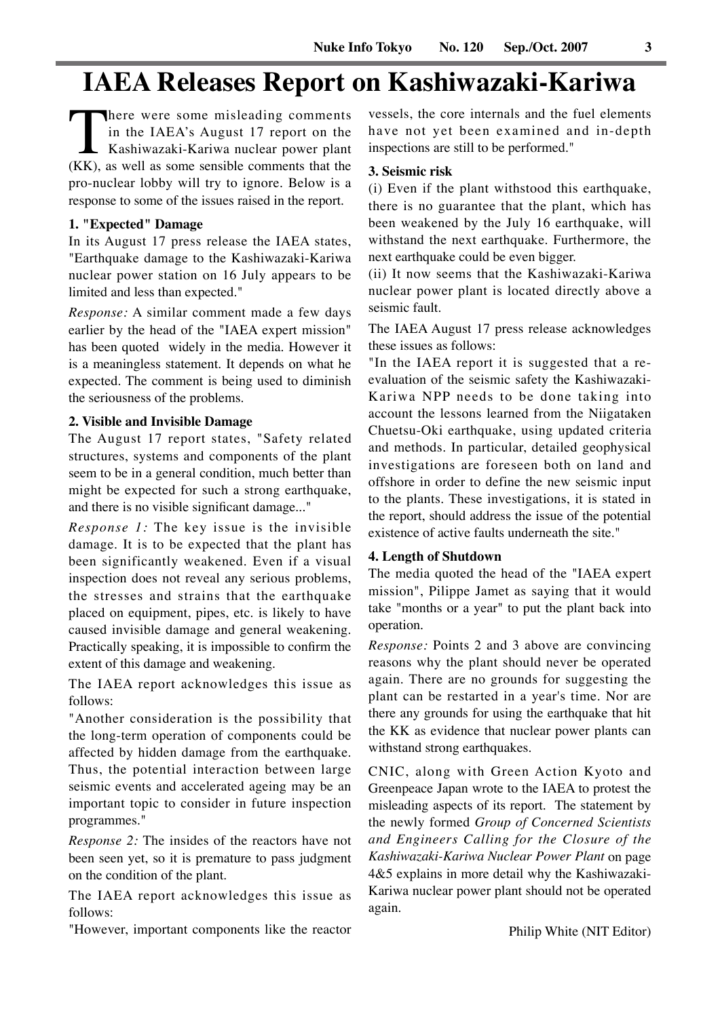## **IAEA Releases Report on Kashiwazaki-Kariwa**

There were some misleading comments<br>
in the IAEA's August 17 report on the<br>
Kashiwazaki-Kariwa nuclear power plant<br>
(KK), as well as some sensible comments that the in the IAEA's August 17 report on the Kashiwazaki-Kariwa nuclear power plant pro-nuclear lobby will try to ignore. Below is a response to some of the issues raised in the report.

#### **1. "Expected" Damage**

In its August 17 press release the IAEA states, "Earthquake damage to the Kashiwazaki-Kariwa nuclear power station on 16 July appears to be limited and less than expected."

*Response:* A similar comment made a few days earlier by the head of the "IAEA expert mission" has been quoted widely in the media. However it is a meaningless statement. It depends on what he expected. The comment is being used to diminish the seriousness of the problems.

#### **2. Visible and Invisible Damage**

The August 17 report states, "Safety related structures, systems and components of the plant seem to be in a general condition, much better than might be expected for such a strong earthquake, and there is no visible significant damage..."

*Response 1:* The key issue is the invisible damage. It is to be expected that the plant has been significantly weakened. Even if a visual inspection does not reveal any serious problems, the stresses and strains that the earthquake placed on equipment, pipes, etc. is likely to have caused invisible damage and general weakening. Practically speaking, it is impossible to confirm the extent of this damage and weakening.

The IAEA report acknowledges this issue as follows:

"Another consideration is the possibility that the long-term operation of components could be affected by hidden damage from the earthquake. Thus, the potential interaction between large seismic events and accelerated ageing may be an important topic to consider in future inspection programmes."

*Response 2:* The insides of the reactors have not been seen yet, so it is premature to pass judgment on the condition of the plant.

The IAEA report acknowledges this issue as follows:

"However, important components like the reactor

vessels, the core internals and the fuel elements have not yet been examined and in-depth inspections are still to be performed."

#### **3. Seismic risk**

(i) Even if the plant withstood this earthquake, there is no guarantee that the plant, which has been weakened by the July 16 earthquake, will withstand the next earthquake. Furthermore, the next earthquake could be even bigger.

(ii) It now seems that the Kashiwazaki-Kariwa nuclear power plant is located directly above a seismic fault.

The IAEA August 17 press release acknowledges these issues as follows:

"In the IAEA report it is suggested that a reevaluation of the seismic safety the Kashiwazaki-Kariwa NPP needs to be done taking into account the lessons learned from the Niigataken Chuetsu-Oki earthquake, using updated criteria and methods. In particular, detailed geophysical investigations are foreseen both on land and offshore in order to define the new seismic input to the plants. These investigations, it is stated in the report, should address the issue of the potential existence of active faults underneath the site."

#### **4. Length of Shutdown**

The media quoted the head of the "IAEA expert mission", Pilippe Jamet as saying that it would take "months or a year" to put the plant back into operation.

*Response:* Points 2 and 3 above are convincing reasons why the plant should never be operated again. There are no grounds for suggesting the plant can be restarted in a year's time. Nor are there any grounds for using the earthquake that hit the KK as evidence that nuclear power plants can withstand strong earthquakes.

CNIC, along with Green Action Kyoto and Greenpeace Japan wrote to the IAEA to protest the misleading aspects of its report. The statement by the newly formed *Group of Concerned Scientists and Engineers Calling for the Closure of the Kashiwazaki-Kariwa Nuclear Power Plant* on page 4&5 explains in more detail why the Kashiwazaki-Kariwa nuclear power plant should not be operated again.

Philip White (NIT Editor)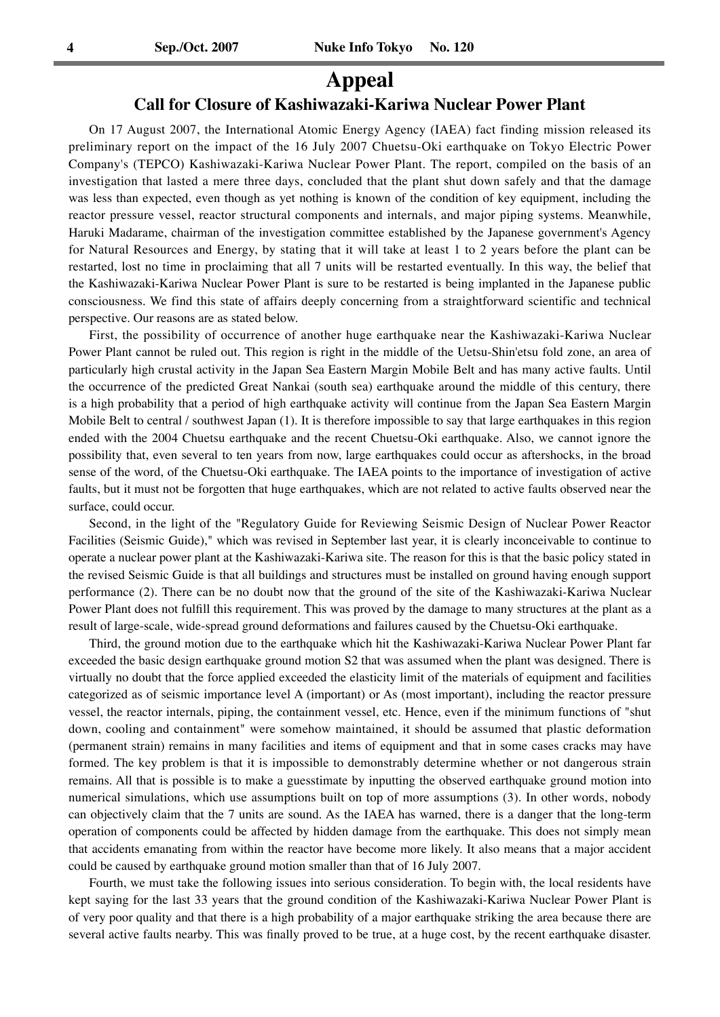### **Appeal**

#### **Call for Closure of Kashiwazaki-Kariwa Nuclear Power Plant**

On 17 August 2007, the International Atomic Energy Agency (IAEA) fact finding mission released its preliminary report on the impact of the 16 July 2007 Chuetsu-Oki earthquake on Tokyo Electric Power Company's (TEPCO) Kashiwazaki-Kariwa Nuclear Power Plant. The report, compiled on the basis of an investigation that lasted a mere three days, concluded that the plant shut down safely and that the damage was less than expected, even though as yet nothing is known of the condition of key equipment, including the reactor pressure vessel, reactor structural components and internals, and major piping systems. Meanwhile, Haruki Madarame, chairman of the investigation committee established by the Japanese government's Agency for Natural Resources and Energy, by stating that it will take at least 1 to 2 years before the plant can be restarted, lost no time in proclaiming that all 7 units will be restarted eventually. In this way, the belief that the Kashiwazaki-Kariwa Nuclear Power Plant is sure to be restarted is being implanted in the Japanese public consciousness. We find this state of affairs deeply concerning from a straightforward scientific and technical perspective. Our reasons are as stated below.

First, the possibility of occurrence of another huge earthquake near the Kashiwazaki-Kariwa Nuclear Power Plant cannot be ruled out. This region is right in the middle of the Uetsu-Shin'etsu fold zone, an area of particularly high crustal activity in the Japan Sea Eastern Margin Mobile Belt and has many active faults. Until the occurrence of the predicted Great Nankai (south sea) earthquake around the middle of this century, there is a high probability that a period of high earthquake activity will continue from the Japan Sea Eastern Margin Mobile Belt to central / southwest Japan (1). It is therefore impossible to say that large earthquakes in this region ended with the 2004 Chuetsu earthquake and the recent Chuetsu-Oki earthquake. Also, we cannot ignore the possibility that, even several to ten years from now, large earthquakes could occur as aftershocks, in the broad sense of the word, of the Chuetsu-Oki earthquake. The IAEA points to the importance of investigation of active faults, but it must not be forgotten that huge earthquakes, which are not related to active faults observed near the surface, could occur.

Second, in the light of the "Regulatory Guide for Reviewing Seismic Design of Nuclear Power Reactor Facilities (Seismic Guide)," which was revised in September last year, it is clearly inconceivable to continue to operate a nuclear power plant at the Kashiwazaki-Kariwa site. The reason for this is that the basic policy stated in the revised Seismic Guide is that all buildings and structures must be installed on ground having enough support performance (2). There can be no doubt now that the ground of the site of the Kashiwazaki-Kariwa Nuclear Power Plant does not fulfill this requirement. This was proved by the damage to many structures at the plant as a result of large-scale, wide-spread ground deformations and failures caused by the Chuetsu-Oki earthquake.

Third, the ground motion due to the earthquake which hit the Kashiwazaki-Kariwa Nuclear Power Plant far exceeded the basic design earthquake ground motion S2 that was assumed when the plant was designed. There is virtually no doubt that the force applied exceeded the elasticity limit of the materials of equipment and facilities categorized as of seismic importance level A (important) or As (most important), including the reactor pressure vessel, the reactor internals, piping, the containment vessel, etc. Hence, even if the minimum functions of "shut down, cooling and containment" were somehow maintained, it should be assumed that plastic deformation (permanent strain) remains in many facilities and items of equipment and that in some cases cracks may have formed. The key problem is that it is impossible to demonstrably determine whether or not dangerous strain remains. All that is possible is to make a guesstimate by inputting the observed earthquake ground motion into numerical simulations, which use assumptions built on top of more assumptions (3). In other words, nobody can objectively claim that the 7 units are sound. As the IAEA has warned, there is a danger that the long-term operation of components could be affected by hidden damage from the earthquake. This does not simply mean that accidents emanating from within the reactor have become more likely. It also means that a major accident could be caused by earthquake ground motion smaller than that of 16 July 2007.

Fourth, we must take the following issues into serious consideration. To begin with, the local residents have kept saying for the last 33 years that the ground condition of the Kashiwazaki-Kariwa Nuclear Power Plant is of very poor quality and that there is a high probability of a major earthquake striking the area because there are several active faults nearby. This was finally proved to be true, at a huge cost, by the recent earthquake disaster.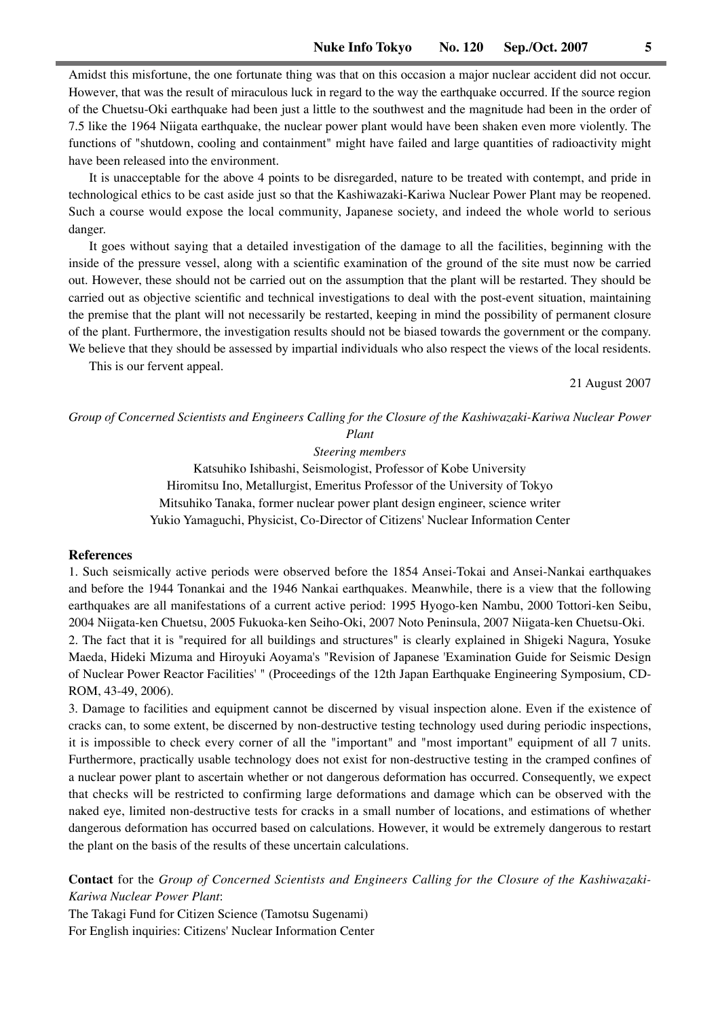Amidst this misfortune, the one fortunate thing was that on this occasion a major nuclear accident did not occur. However, that was the result of miraculous luck in regard to the way the earthquake occurred. If the source region of the Chuetsu-Oki earthquake had been just a little to the southwest and the magnitude had been in the order of 7.5 like the 1964 Niigata earthquake, the nuclear power plant would have been shaken even more violently. The functions of "shutdown, cooling and containment" might have failed and large quantities of radioactivity might have been released into the environment.

It is unacceptable for the above 4 points to be disregarded, nature to be treated with contempt, and pride in technological ethics to be cast aside just so that the Kashiwazaki-Kariwa Nuclear Power Plant may be reopened. Such a course would expose the local community, Japanese society, and indeed the whole world to serious danger.

It goes without saying that a detailed investigation of the damage to all the facilities, beginning with the inside of the pressure vessel, along with a scientific examination of the ground of the site must now be carried out. However, these should not be carried out on the assumption that the plant will be restarted. They should be carried out as objective scientific and technical investigations to deal with the post-event situation, maintaining the premise that the plant will not necessarily be restarted, keeping in mind the possibility of permanent closure of the plant. Furthermore, the investigation results should not be biased towards the government or the company. We believe that they should be assessed by impartial individuals who also respect the views of the local residents.

This is our fervent appeal.

21 August 2007

#### *Group of Concerned Scientists and Engineers Calling for the Closure of the Kashiwazaki-Kariwa Nuclear Power Plant*

*Steering members*

Katsuhiko Ishibashi, Seismologist, Professor of Kobe University Hiromitsu Ino, Metallurgist, Emeritus Professor of the University of Tokyo Mitsuhiko Tanaka, former nuclear power plant design engineer, science writer Yukio Yamaguchi, Physicist, Co-Director of Citizens' Nuclear Information Center

#### **References**

1. Such seismically active periods were observed before the 1854 Ansei-Tokai and Ansei-Nankai earthquakes and before the 1944 Tonankai and the 1946 Nankai earthquakes. Meanwhile, there is a view that the following earthquakes are all manifestations of a current active period: 1995 Hyogo-ken Nambu, 2000 Tottori-ken Seibu, 2004 Niigata-ken Chuetsu, 2005 Fukuoka-ken Seiho-Oki, 2007 Noto Peninsula, 2007 Niigata-ken Chuetsu-Oki. 2. The fact that it is "required for all buildings and structures" is clearly explained in Shigeki Nagura, Yosuke Maeda, Hideki Mizuma and Hiroyuki Aoyama's "Revision of Japanese 'Examination Guide for Seismic Design of Nuclear Power Reactor Facilities' " (Proceedings of the 12th Japan Earthquake Engineering Symposium, CD-ROM, 43-49, 2006).

3. Damage to facilities and equipment cannot be discerned by visual inspection alone. Even if the existence of cracks can, to some extent, be discerned by non-destructive testing technology used during periodic inspections, it is impossible to check every corner of all the "important" and "most important" equipment of all 7 units. Furthermore, practically usable technology does not exist for non-destructive testing in the cramped confines of a nuclear power plant to ascertain whether or not dangerous deformation has occurred. Consequently, we expect that checks will be restricted to confirming large deformations and damage which can be observed with the naked eye, limited non-destructive tests for cracks in a small number of locations, and estimations of whether dangerous deformation has occurred based on calculations. However, it would be extremely dangerous to restart the plant on the basis of the results of these uncertain calculations.

**Contact** for the *Group of Concerned Scientists and Engineers Calling for the Closure of the Kashiwazaki-Kariwa Nuclear Power Plant*:

The Takagi Fund for Citizen Science (Tamotsu Sugenami) For English inquiries: Citizens' Nuclear Information Center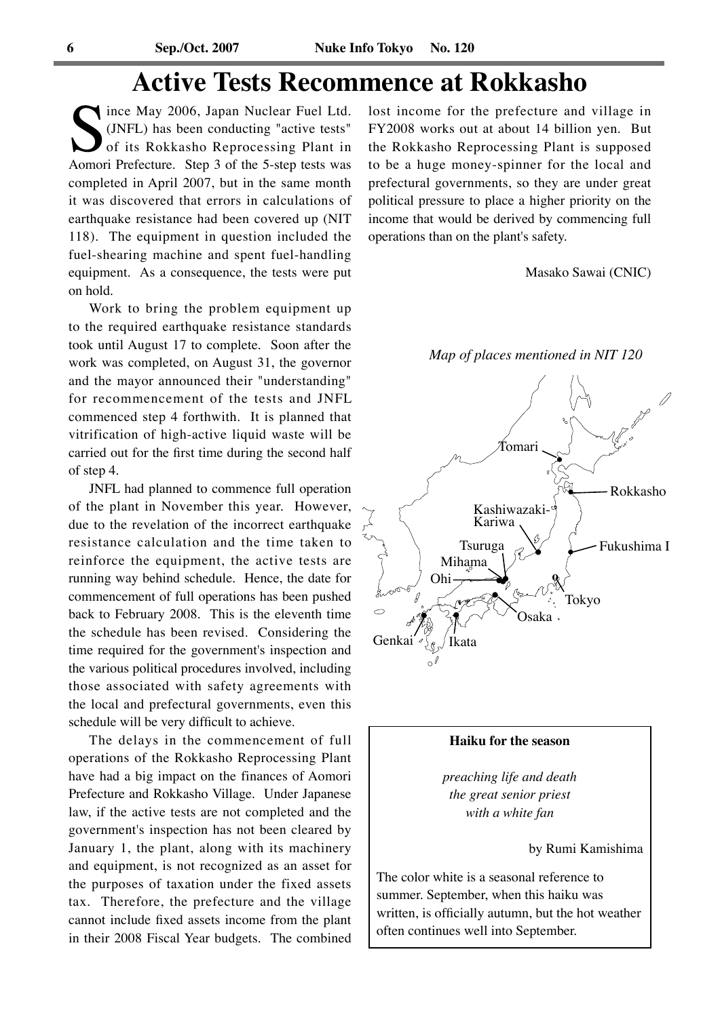## **Active Tests Recommence at Rokkasho**

Since May 2006, Japan Nuclear Fuel Ltd.<br>
(JNFL) has been conducting "active tests"<br>
of its Rokkasho Reprocessing Plant in<br>
Aomori Prefecture. Step 3 of the 5-step tests was (JNFL) has been conducting "active tests" of its Rokkasho Reprocessing Plant in completed in April 2007, but in the same month it was discovered that errors in calculations of earthquake resistance had been covered up (NIT 118). The equipment in question included the fuel-shearing machine and spent fuel-handling equipment. As a consequence, the tests were put on hold.

Work to bring the problem equipment up to the required earthquake resistance standards took until August 17 to complete. Soon after the work was completed, on August 31, the governor and the mayor announced their "understanding" for recommencement of the tests and JNFL commenced step 4 forthwith. It is planned that vitrification of high-active liquid waste will be carried out for the first time during the second half of step 4.

JNFL had planned to commence full operation of the plant in November this year. However, due to the revelation of the incorrect earthquake resistance calculation and the time taken to reinforce the equipment, the active tests are running way behind schedule. Hence, the date for commencement of full operations has been pushed back to February 2008. This is the eleventh time the schedule has been revised. Considering the time required for the government's inspection and the various political procedures involved, including those associated with safety agreements with the local and prefectural governments, even this schedule will be very difficult to achieve.

The delays in the commencement of full operations of the Rokkasho Reprocessing Plant have had a big impact on the finances of Aomori Prefecture and Rokkasho Village. Under Japanese law, if the active tests are not completed and the government's inspection has not been cleared by January 1, the plant, along with its machinery and equipment, is not recognized as an asset for the purposes of taxation under the fixed assets tax. Therefore, the prefecture and the village cannot include fixed assets income from the plant in their 2008 Fiscal Year budgets. The combined lost income for the prefecture and village in FY2008 works out at about 14 billion yen. But the Rokkasho Reprocessing Plant is supposed to be a huge money-spinner for the local and prefectural governments, so they are under great political pressure to place a higher priority on the income that would be derived by commencing full operations than on the plant's safety.

Masako Sawai (CNIC)

*Map of places mentioned in NIT 120*



#### **Haiku for the season**

*preaching life and death the great senior priest with a white fan*

by Rumi Kamishima

The color white is a seasonal reference to summer. September, when this haiku was written, is officially autumn, but the hot weather often continues well into September.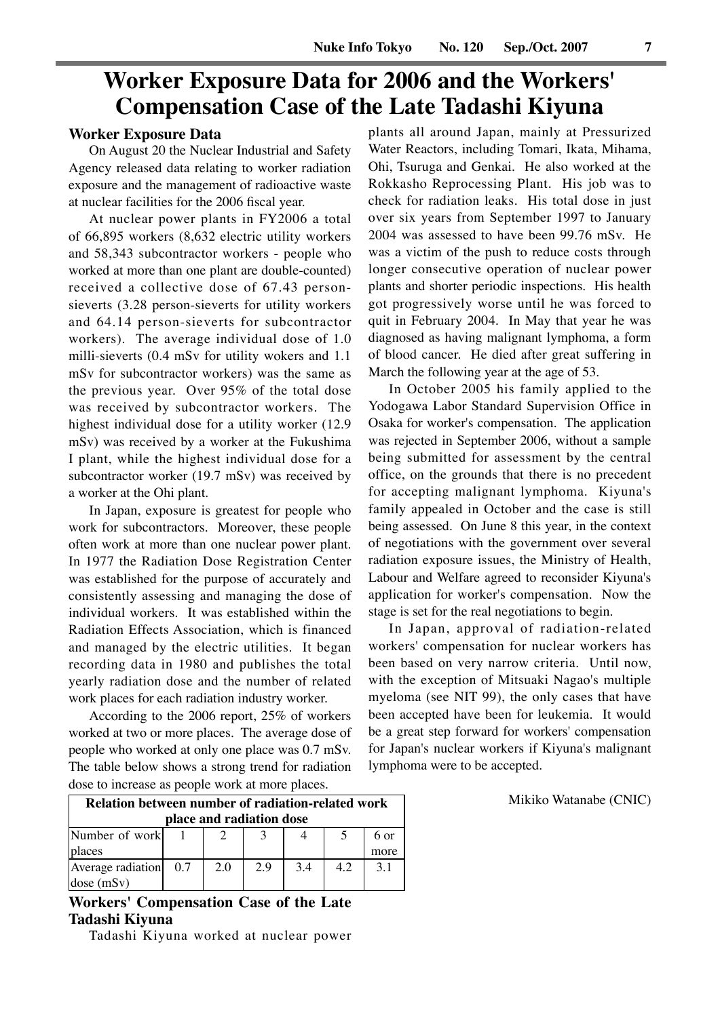## **Worker Exposure Data for 2006 and the Workers' Compensation Case of the Late Tadashi Kiyuna**

#### **Worker Exposure Data**

On August 20 the Nuclear Industrial and Safety Agency released data relating to worker radiation exposure and the management of radioactive waste at nuclear facilities for the 2006 fiscal year.

At nuclear power plants in FY2006 a total of 66,895 workers (8,632 electric utility workers and 58,343 subcontractor workers - people who worked at more than one plant are double-counted) received a collective dose of 67.43 personsieverts (3.28 person-sieverts for utility workers and 64.14 person-sieverts for subcontractor workers). The average individual dose of 1.0 milli-sieverts (0.4 mSv for utility wokers and 1.1 mSv for subcontractor workers) was the same as the previous year. Over 95% of the total dose was received by subcontractor workers. The highest individual dose for a utility worker (12.9 mSv) was received by a worker at the Fukushima I plant, while the highest individual dose for a subcontractor worker (19.7 mSv) was received by a worker at the Ohi plant.

In Japan, exposure is greatest for people who work for subcontractors. Moreover, these people often work at more than one nuclear power plant. In 1977 the Radiation Dose Registration Center was established for the purpose of accurately and consistently assessing and managing the dose of individual workers. It was established within the Radiation Effects Association, which is financed and managed by the electric utilities. It began recording data in 1980 and publishes the total yearly radiation dose and the number of related work places for each radiation industry worker.

According to the 2006 report, 25% of workers worked at two or more places. The average dose of people who worked at only one place was 0.7 mSv. The table below shows a strong trend for radiation dose to increase as people work at more places.

plants all around Japan, mainly at Pressurized Water Reactors, including Tomari, Ikata, Mihama, Ohi, Tsuruga and Genkai. He also worked at the Rokkasho Reprocessing Plant. His job was to check for radiation leaks. His total dose in just over six years from September 1997 to January 2004 was assessed to have been 99.76 mSv. He was a victim of the push to reduce costs through longer consecutive operation of nuclear power plants and shorter periodic inspections. His health got progressively worse until he was forced to quit in February 2004. In May that year he was diagnosed as having malignant lymphoma, a form of blood cancer. He died after great suffering in March the following year at the age of 53.

In October 2005 his family applied to the Yodogawa Labor Standard Supervision Office in Osaka for worker's compensation. The application was rejected in September 2006, without a sample being submitted for assessment by the central office, on the grounds that there is no precedent for accepting malignant lymphoma. Kiyuna's family appealed in October and the case is still being assessed. On June 8 this year, in the context of negotiations with the government over several radiation exposure issues, the Ministry of Health, Labour and Welfare agreed to reconsider Kiyuna's application for worker's compensation. Now the stage is set for the real negotiations to begin.

In Japan, approval of radiation-related workers' compensation for nuclear workers has been based on very narrow criteria. Until now, with the exception of Mitsuaki Nagao's multiple myeloma (see NIT 99), the only cases that have been accepted have been for leukemia. It would be a great step forward for workers' compensation for Japan's nuclear workers if Kiyuna's malignant lymphoma were to be accepted.

| <b>Relation between number of radiation-related work</b> |  |     |     |     |  |      |  |  |
|----------------------------------------------------------|--|-----|-----|-----|--|------|--|--|
| place and radiation dose                                 |  |     |     |     |  |      |  |  |
| Number of work                                           |  |     |     |     |  | 6 or |  |  |
| <b>places</b>                                            |  |     |     |     |  | more |  |  |
| Average radiation 0.7                                    |  | 2.0 | 2.9 | 3.4 |  |      |  |  |

**Workers' Compensation Case of the Late Tadashi Kiyuna**

dose (mSv)

Tadashi Kiyuna worked at nuclear power

Mikiko Watanabe (CNIC)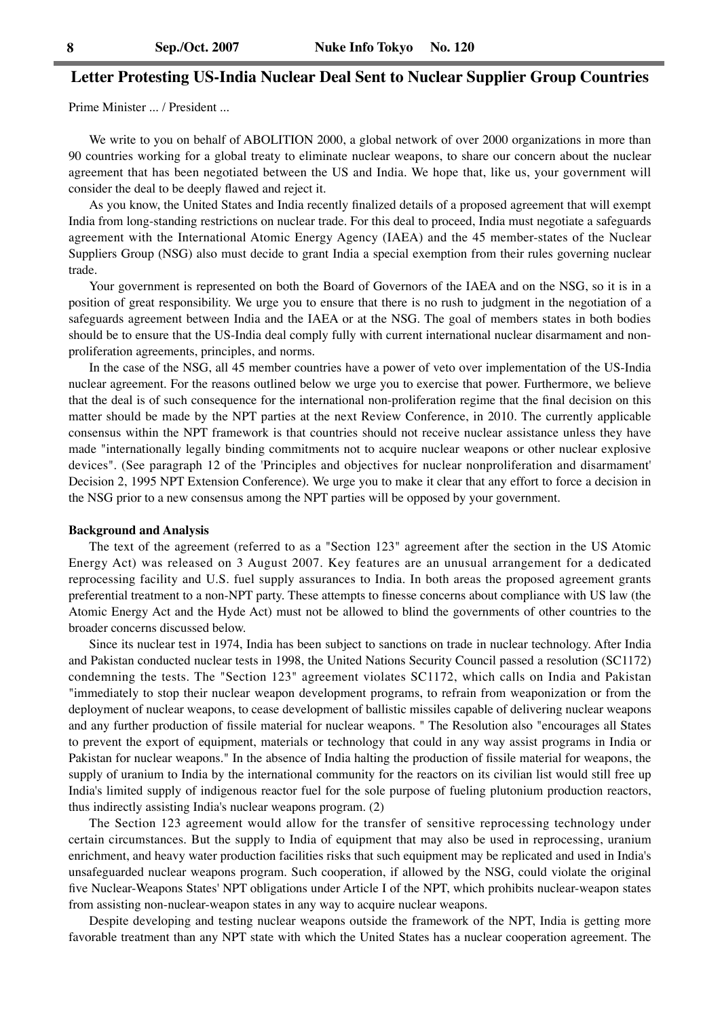#### **Letter Protesting US-India Nuclear Deal Sent to Nuclear Supplier Group Countries**

Prime Minister ... / President ...

We write to you on behalf of ABOLITION 2000, a global network of over 2000 organizations in more than 90 countries working for a global treaty to eliminate nuclear weapons, to share our concern about the nuclear agreement that has been negotiated between the US and India. We hope that, like us, your government will consider the deal to be deeply flawed and reject it.

As you know, the United States and India recently finalized details of a proposed agreement that will exempt India from long-standing restrictions on nuclear trade. For this deal to proceed, India must negotiate a safeguards agreement with the International Atomic Energy Agency (IAEA) and the 45 member-states of the Nuclear Suppliers Group (NSG) also must decide to grant India a special exemption from their rules governing nuclear trade.

Your government is represented on both the Board of Governors of the IAEA and on the NSG, so it is in a position of great responsibility. We urge you to ensure that there is no rush to judgment in the negotiation of a safeguards agreement between India and the IAEA or at the NSG. The goal of members states in both bodies should be to ensure that the US-India deal comply fully with current international nuclear disarmament and nonproliferation agreements, principles, and norms.

In the case of the NSG, all 45 member countries have a power of veto over implementation of the US-India nuclear agreement. For the reasons outlined below we urge you to exercise that power. Furthermore, we believe that the deal is of such consequence for the international non-proliferation regime that the final decision on this matter should be made by the NPT parties at the next Review Conference, in 2010. The currently applicable consensus within the NPT framework is that countries should not receive nuclear assistance unless they have made "internationally legally binding commitments not to acquire nuclear weapons or other nuclear explosive devices". (See paragraph 12 of the 'Principles and objectives for nuclear nonproliferation and disarmament' Decision 2, 1995 NPT Extension Conference). We urge you to make it clear that any effort to force a decision in the NSG prior to a new consensus among the NPT parties will be opposed by your government.

#### **Background and Analysis**

The text of the agreement (referred to as a "Section 123" agreement after the section in the US Atomic Energy Act) was released on 3 August 2007. Key features are an unusual arrangement for a dedicated reprocessing facility and U.S. fuel supply assurances to India. In both areas the proposed agreement grants preferential treatment to a non-NPT party. These attempts to finesse concerns about compliance with US law (the Atomic Energy Act and the Hyde Act) must not be allowed to blind the governments of other countries to the broader concerns discussed below.

Since its nuclear test in 1974, India has been subject to sanctions on trade in nuclear technology. After India and Pakistan conducted nuclear tests in 1998, the United Nations Security Council passed a resolution (SC1172) condemning the tests. The "Section 123" agreement violates SC1172, which calls on India and Pakistan "immediately to stop their nuclear weapon development programs, to refrain from weaponization or from the deployment of nuclear weapons, to cease development of ballistic missiles capable of delivering nuclear weapons and any further production of fissile material for nuclear weapons. " The Resolution also "encourages all States to prevent the export of equipment, materials or technology that could in any way assist programs in India or Pakistan for nuclear weapons." In the absence of India halting the production of fissile material for weapons, the supply of uranium to India by the international community for the reactors on its civilian list would still free up India's limited supply of indigenous reactor fuel for the sole purpose of fueling plutonium production reactors, thus indirectly assisting India's nuclear weapons program. (2)

The Section 123 agreement would allow for the transfer of sensitive reprocessing technology under certain circumstances. But the supply to India of equipment that may also be used in reprocessing, uranium enrichment, and heavy water production facilities risks that such equipment may be replicated and used in India's unsafeguarded nuclear weapons program. Such cooperation, if allowed by the NSG, could violate the original five Nuclear-Weapons States' NPT obligations under Article I of the NPT, which prohibits nuclear-weapon states from assisting non-nuclear-weapon states in any way to acquire nuclear weapons.

Despite developing and testing nuclear weapons outside the framework of the NPT, India is getting more favorable treatment than any NPT state with which the United States has a nuclear cooperation agreement. The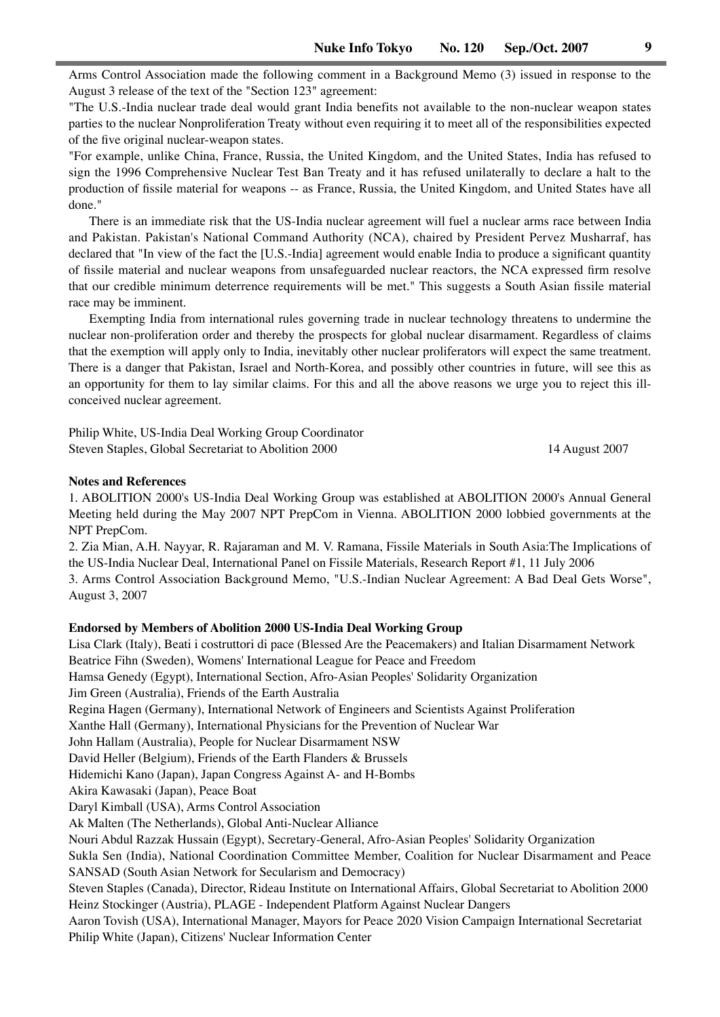Arms Control Association made the following comment in a Background Memo (3) issued in response to the August 3 release of the text of the "Section 123" agreement:

"The U.S.-India nuclear trade deal would grant India benefits not available to the non-nuclear weapon states parties to the nuclear Nonproliferation Treaty without even requiring it to meet all of the responsibilities expected of the five original nuclear-weapon states.

"For example, unlike China, France, Russia, the United Kingdom, and the United States, India has refused to sign the 1996 Comprehensive Nuclear Test Ban Treaty and it has refused unilaterally to declare a halt to the production of fissile material for weapons -- as France, Russia, the United Kingdom, and United States have all done."

There is an immediate risk that the US-India nuclear agreement will fuel a nuclear arms race between India and Pakistan. Pakistan's National Command Authority (NCA), chaired by President Pervez Musharraf, has declared that "In view of the fact the [U.S.-India] agreement would enable India to produce a significant quantity of fissile material and nuclear weapons from unsafeguarded nuclear reactors, the NCA expressed firm resolve that our credible minimum deterrence requirements will be met." This suggests a South Asian fissile material race may be imminent.

Exempting India from international rules governing trade in nuclear technology threatens to undermine the nuclear non-proliferation order and thereby the prospects for global nuclear disarmament. Regardless of claims that the exemption will apply only to India, inevitably other nuclear proliferators will expect the same treatment. There is a danger that Pakistan, Israel and North-Korea, and possibly other countries in future, will see this as an opportunity for them to lay similar claims. For this and all the above reasons we urge you to reject this illconceived nuclear agreement.

Philip White, US-India Deal Working Group Coordinator Steven Staples, Global Secretariat to Abolition 2000 14 August 2007

#### **Notes and References**

1. ABOLITION 2000's US-India Deal Working Group was established at ABOLITION 2000's Annual General Meeting held during the May 2007 NPT PrepCom in Vienna. ABOLITION 2000 lobbied governments at the NPT PrepCom.

2. Zia Mian, A.H. Nayyar, R. Rajaraman and M. V. Ramana, Fissile Materials in South Asia:The Implications of the US-India Nuclear Deal, International Panel on Fissile Materials, Research Report #1, 11 July 2006 3. Arms Control Association Background Memo, "U.S.-Indian Nuclear Agreement: A Bad Deal Gets Worse", August 3, 2007

#### **Endorsed by Members of Abolition 2000 US-India Deal Working Group**

Lisa Clark (Italy), Beati i costruttori di pace (Blessed Are the Peacemakers) and Italian Disarmament Network Beatrice Fihn (Sweden), Womens' International League for Peace and Freedom Hamsa Genedy (Egypt), International Section, Afro-Asian Peoples' Solidarity Organization Jim Green (Australia), Friends of the Earth Australia Regina Hagen (Germany), International Network of Engineers and Scientists Against Proliferation Xanthe Hall (Germany), International Physicians for the Prevention of Nuclear War John Hallam (Australia), People for Nuclear Disarmament NSW David Heller (Belgium), Friends of the Earth Flanders & Brussels Hidemichi Kano (Japan), Japan Congress Against A- and H-Bombs Akira Kawasaki (Japan), Peace Boat Daryl Kimball (USA), Arms Control Association Ak Malten (The Netherlands), Global Anti-Nuclear Alliance Nouri Abdul Razzak Hussain (Egypt), Secretary-General, Afro-Asian Peoples' Solidarity Organization Sukla Sen (India), National Coordination Committee Member, Coalition for Nuclear Disarmament and Peace SANSAD (South Asian Network for Secularism and Democracy) Steven Staples (Canada), Director, Rideau Institute on International Affairs, Global Secretariat to Abolition 2000 Heinz Stockinger (Austria), PLAGE - Independent Platform Against Nuclear Dangers Aaron Tovish (USA), International Manager, Mayors for Peace 2020 Vision Campaign International Secretariat Philip White (Japan), Citizens' Nuclear Information Center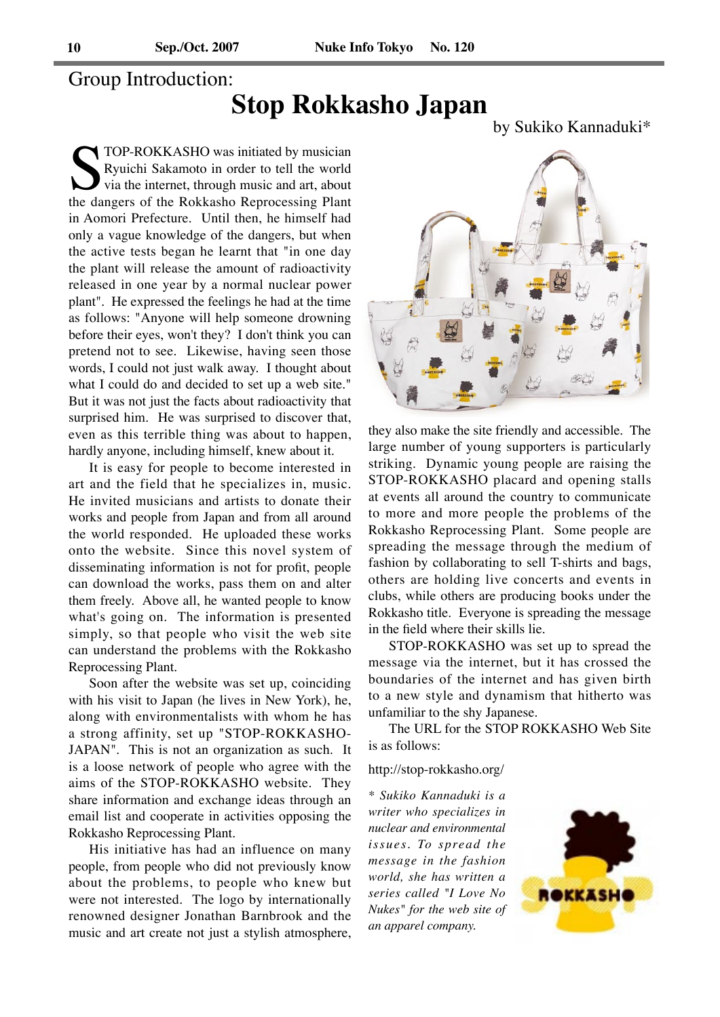#### Group Introduction:

## **Stop Rokkasho Japan**

by Sukiko Kannaduki\*

TOP-ROKKASHO was initiated by musician<br>Ryuichi Sakamoto in order to tell the world<br>via the internet, through music and art, about<br>the dangers of the Rokkasho Reprocessing Plant Ryuichi Sakamoto in order to tell the world via the internet, through music and art, about the dangers of the Rokkasho Reprocessing Plant in Aomori Prefecture. Until then, he himself had only a vague knowledge of the dangers, but when the active tests began he learnt that "in one day the plant will release the amount of radioactivity released in one year by a normal nuclear power plant". He expressed the feelings he had at the time as follows: "Anyone will help someone drowning before their eyes, won't they? I don't think you can pretend not to see. Likewise, having seen those words, I could not just walk away. I thought about what I could do and decided to set up a web site." But it was not just the facts about radioactivity that surprised him. He was surprised to discover that, even as this terrible thing was about to happen, hardly anyone, including himself, knew about it.

It is easy for people to become interested in art and the field that he specializes in, music. He invited musicians and artists to donate their works and people from Japan and from all around the world responded. He uploaded these works onto the website. Since this novel system of disseminating information is not for profit, people can download the works, pass them on and alter them freely. Above all, he wanted people to know what's going on. The information is presented simply, so that people who visit the web site can understand the problems with the Rokkasho Reprocessing Plant.

Soon after the website was set up, coinciding with his visit to Japan (he lives in New York), he, along with environmentalists with whom he has a strong affinity, set up "STOP-ROKKASHO-JAPAN". This is not an organization as such. It is a loose network of people who agree with the aims of the STOP-ROKKASHO website. They share information and exchange ideas through an email list and cooperate in activities opposing the Rokkasho Reprocessing Plant.

His initiative has had an influence on many people, from people who did not previously know about the problems, to people who knew but were not interested. The logo by internationally renowned designer Jonathan Barnbrook and the music and art create not just a stylish atmosphere,



they also make the site friendly and accessible. The large number of young supporters is particularly striking. Dynamic young people are raising the STOP-ROKKASHO placard and opening stalls at events all around the country to communicate to more and more people the problems of the Rokkasho Reprocessing Plant. Some people are spreading the message through the medium of fashion by collaborating to sell T-shirts and bags, others are holding live concerts and events in clubs, while others are producing books under the Rokkasho title. Everyone is spreading the message in the field where their skills lie.

STOP-ROKKASHO was set up to spread the message via the internet, but it has crossed the boundaries of the internet and has given birth to a new style and dynamism that hitherto was unfamiliar to the shy Japanese.

The URL for the STOP ROKKASHO Web Site is as follows:

http://stop-rokkasho.org/

*\* Sukiko Kannaduki is a writer who specializes in nuclear and environmental issues. To spread the message in the fashion world, she has written a series called "I Love No Nukes" for the web site of an apparel company.*

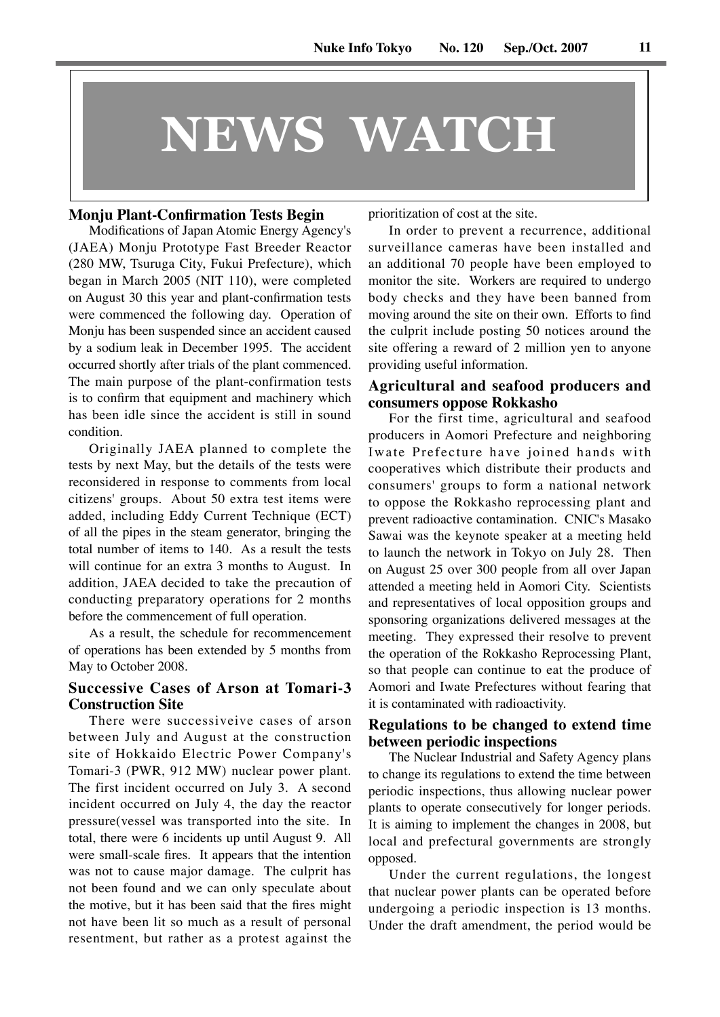# **NEWS WATCH**

#### **Monju Plant-Confirmation Tests Begin**

Modifications of Japan Atomic Energy Agency's (JAEA) Monju Prototype Fast Breeder Reactor (280 MW, Tsuruga City, Fukui Prefecture), which began in March 2005 (NIT 110), were completed on August 30 this year and plant-confirmation tests were commenced the following day. Operation of Monju has been suspended since an accident caused by a sodium leak in December 1995. The accident occurred shortly after trials of the plant commenced. The main purpose of the plant-confirmation tests is to confirm that equipment and machinery which has been idle since the accident is still in sound condition.

Originally JAEA planned to complete the tests by next May, but the details of the tests were reconsidered in response to comments from local citizens' groups. About 50 extra test items were added, including Eddy Current Technique (ECT) of all the pipes in the steam generator, bringing the total number of items to 140. As a result the tests will continue for an extra 3 months to August. In addition, JAEA decided to take the precaution of conducting preparatory operations for 2 months before the commencement of full operation.

As a result, the schedule for recommencement of operations has been extended by 5 months from May to October 2008.

#### **Successive Cases of Arson at Tomari-3 Construction Site**

There were successiveive cases of arson between July and August at the construction site of Hokkaido Electric Power Company's Tomari-3 (PWR, 912 MW) nuclear power plant. The first incident occurred on July 3. A second incident occurred on July 4, the day the reactor pressure(vessel was transported into the site. In total, there were 6 incidents up until August 9. All were small-scale fires. It appears that the intention was not to cause major damage. The culprit has not been found and we can only speculate about the motive, but it has been said that the fires might not have been lit so much as a result of personal resentment, but rather as a protest against the prioritization of cost at the site.

In order to prevent a recurrence, additional surveillance cameras have been installed and an additional 70 people have been employed to monitor the site. Workers are required to undergo body checks and they have been banned from moving around the site on their own. Efforts to find the culprit include posting 50 notices around the site offering a reward of 2 million yen to anyone providing useful information.

#### **Agricultural and seafood producers and consumers oppose Rokkasho**

For the first time, agricultural and seafood producers in Aomori Prefecture and neighboring Iwate Prefecture have joined hands with cooperatives which distribute their products and consumers' groups to form a national network to oppose the Rokkasho reprocessing plant and prevent radioactive contamination. CNIC's Masako Sawai was the keynote speaker at a meeting held to launch the network in Tokyo on July 28. Then on August 25 over 300 people from all over Japan attended a meeting held in Aomori City. Scientists and representatives of local opposition groups and sponsoring organizations delivered messages at the meeting. They expressed their resolve to prevent the operation of the Rokkasho Reprocessing Plant, so that people can continue to eat the produce of Aomori and Iwate Prefectures without fearing that it is contaminated with radioactivity.

#### **Regulations to be changed to extend time between periodic inspections**

The Nuclear Industrial and Safety Agency plans to change its regulations to extend the time between periodic inspections, thus allowing nuclear power plants to operate consecutively for longer periods. It is aiming to implement the changes in 2008, but local and prefectural governments are strongly opposed.

Under the current regulations, the longest that nuclear power plants can be operated before undergoing a periodic inspection is 13 months. Under the draft amendment, the period would be